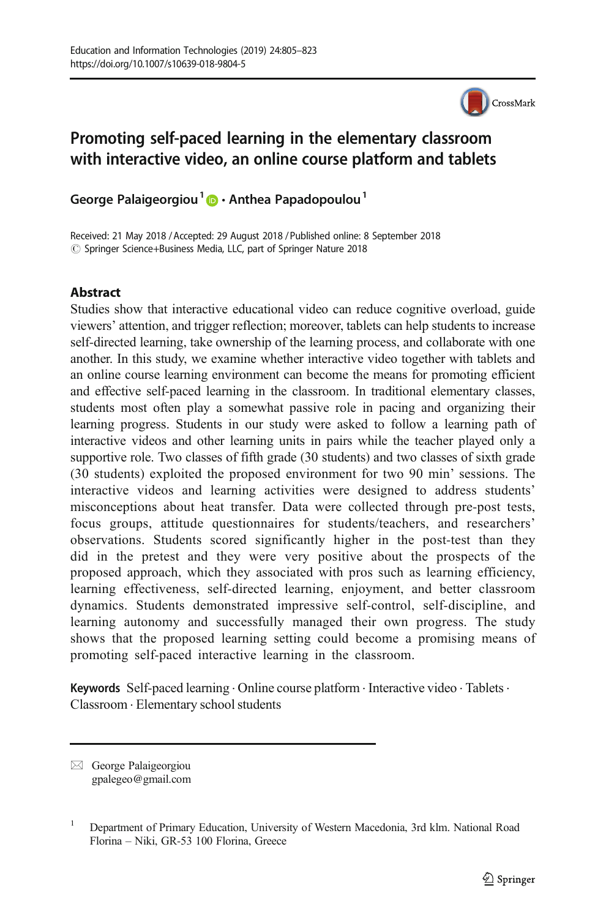

# Promoting self-paced learning in the elementary classroom with interactive video, an online course platform and tablets

George Palaigeorgiou<sup>1</sup>  $\bullet$  · Anthea Papadopoulou<sup>1</sup>

Received: 21 May 2018 / Accepted: 29 August 2018 /Published online: 8 September 2018  $\circled{C}$  Springer Science+Business Media, LLC, part of Springer Nature 2018

## Abstract

Studies show that interactive educational video can reduce cognitive overload, guide viewers' attention, and trigger reflection; moreover, tablets can help students to increase self-directed learning, take ownership of the learning process, and collaborate with one another. In this study, we examine whether interactive video together with tablets and an online course learning environment can become the means for promoting efficient and effective self-paced learning in the classroom. In traditional elementary classes, students most often play a somewhat passive role in pacing and organizing their learning progress. Students in our study were asked to follow a learning path of interactive videos and other learning units in pairs while the teacher played only a supportive role. Two classes of fifth grade (30 students) and two classes of sixth grade (30 students) exploited the proposed environment for two 90 min' sessions. The interactive videos and learning activities were designed to address students' misconceptions about heat transfer. Data were collected through pre-post tests, focus groups, attitude questionnaires for students/teachers, and researchers' observations. Students scored significantly higher in the post-test than they did in the pretest and they were very positive about the prospects of the proposed approach, which they associated with pros such as learning efficiency, learning effectiveness, self-directed learning, enjoyment, and better classroom dynamics. Students demonstrated impressive self-control, self-discipline, and learning autonomy and successfully managed their own progress. The study shows that the proposed learning setting could become a promising means of promoting self-paced interactive learning in the classroom.

Keywords Self-paced learning  $\cdot$  Online course platform  $\cdot$  Interactive video  $\cdot$  Tablets  $\cdot$ Classroom . Elementary school students

 $\boxtimes$  George Palaigeorgiou [gpalegeo@gmail.com](mailto:gpalegeo@gmail.com)

<sup>&</sup>lt;sup>1</sup> Department of Primary Education, University of Western Macedonia, 3rd klm. National Road Florina – Niki, GR-53 100 Florina, Greece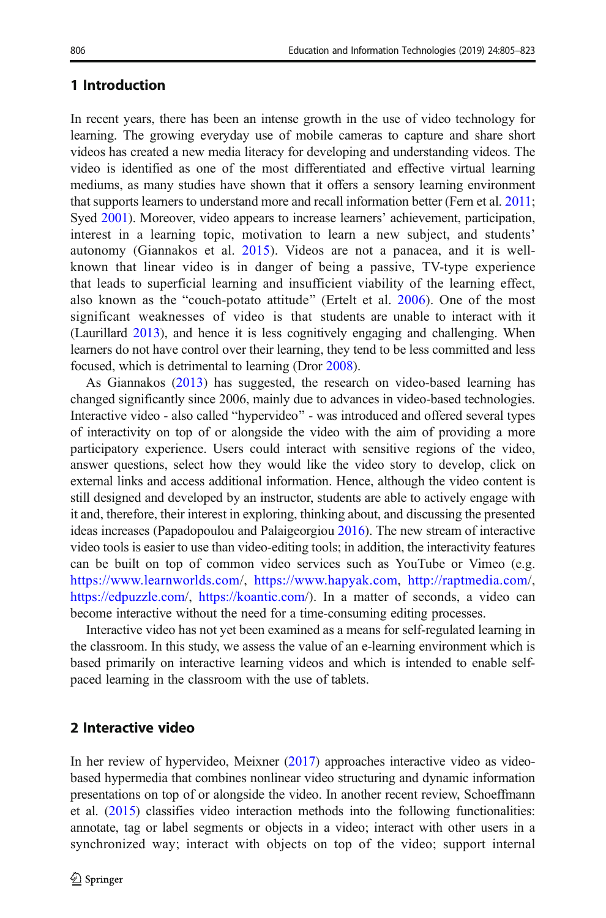## 1 Introduction

In recent years, there has been an intense growth in the use of video technology for learning. The growing everyday use of mobile cameras to capture and share short videos has created a new media literacy for developing and understanding videos. The video is identified as one of the most differentiated and effective virtual learning mediums, as many studies have shown that it offers a sensory learning environment that supports learners to understand more and recall information better (Fern et al. [2011;](#page-17-0) Syed [2001](#page-18-0)). Moreover, video appears to increase learners' achievement, participation, interest in a learning topic, motivation to learn a new subject, and students' autonomy (Giannakos et al. [2015](#page-17-0)). Videos are not a panacea, and it is wellknown that linear video is in danger of being a passive, TV-type experience that leads to superficial learning and insufficient viability of the learning effect, also known as the "couch-potato attitude" (Ertelt et al. [2006\)](#page-17-0). One of the most significant weaknesses of video is that students are unable to interact with it (Laurillard [2013](#page-17-0)), and hence it is less cognitively engaging and challenging. When learners do not have control over their learning, they tend to be less committed and less focused, which is detrimental to learning (Dror [2008](#page-17-0)).

As Giannakos ([2013\)](#page-17-0) has suggested, the research on video-based learning has changed significantly since 2006, mainly due to advances in video-based technologies. Interactive video - also called "hypervideo" - was introduced and offered several types of interactivity on top of or alongside the video with the aim of providing a more participatory experience. Users could interact with sensitive regions of the video, answer questions, select how they would like the video story to develop, click on external links and access additional information. Hence, although the video content is still designed and developed by an instructor, students are able to actively engage with it and, therefore, their interest in exploring, thinking about, and discussing the presented ideas increases (Papadopoulou and Palaigeorgiou [2016\)](#page-18-0). The new stream of interactive video tools is easier to use than video-editing tools; in addition, the interactivity features can be built on top of common video services such as YouTube or Vimeo (e.g. <https://www.learnworlds.com>/, <https://www.hapyak.com>, [http://raptmedia.com/](http://raptmedia.com), <https://edpuzzle.com>/, <https://koantic.com>/). In a matter of seconds, a video can become interactive without the need for a time-consuming editing processes.

Interactive video has not yet been examined as a means for self-regulated learning in the classroom. In this study, we assess the value of an e-learning environment which is based primarily on interactive learning videos and which is intended to enable selfpaced learning in the classroom with the use of tablets.

#### 2 Interactive video

In her review of hypervideo, Meixner [\(2017\)](#page-18-0) approaches interactive video as videobased hypermedia that combines nonlinear video structuring and dynamic information presentations on top of or alongside the video. In another recent review, Schoeffmann et al. ([2015](#page-18-0)) classifies video interaction methods into the following functionalities: annotate, tag or label segments or objects in a video; interact with other users in a synchronized way; interact with objects on top of the video; support internal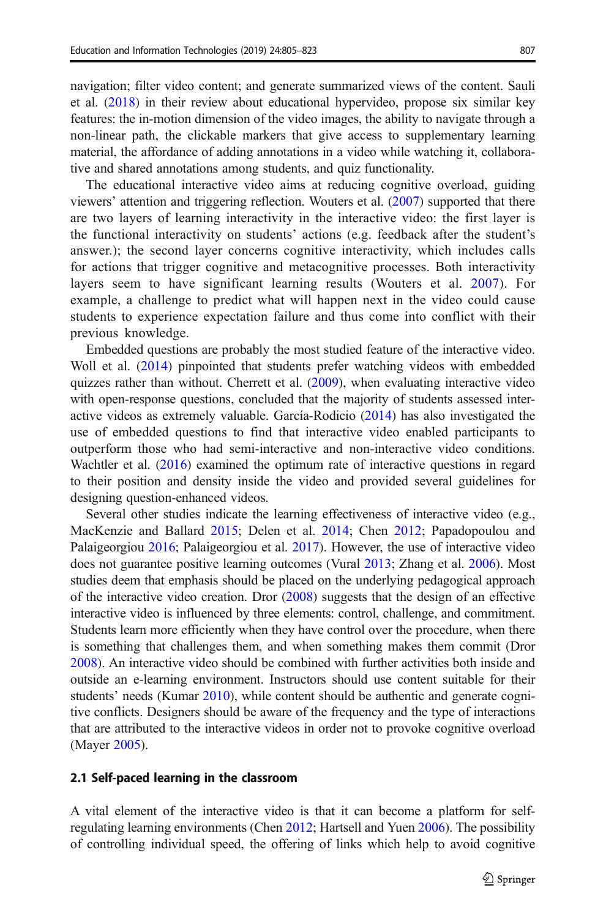navigation; filter video content; and generate summarized views of the content. Sauli et al. ([2018](#page-18-0)) in their review about educational hypervideo, propose six similar key features: the in-motion dimension of the video images, the ability to navigate through a non-linear path, the clickable markers that give access to supplementary learning material, the affordance of adding annotations in a video while watching it, collaborative and shared annotations among students, and quiz functionality.

The educational interactive video aims at reducing cognitive overload, guiding viewers' attention and triggering reflection. Wouters et al. ([2007](#page-18-0)) supported that there are two layers of learning interactivity in the interactive video: the first layer is the functional interactivity on students' actions (e.g. feedback after the student's answer.); the second layer concerns cognitive interactivity, which includes calls for actions that trigger cognitive and metacognitive processes. Both interactivity layers seem to have significant learning results (Wouters et al. [2007](#page-18-0)). For example, a challenge to predict what will happen next in the video could cause students to experience expectation failure and thus come into conflict with their previous knowledge.

Embedded questions are probably the most studied feature of the interactive video. Woll et al. [\(2014\)](#page-18-0) pinpointed that students prefer watching videos with embedded quizzes rather than without. Cherrett et al. [\(2009\)](#page-16-0), when evaluating interactive video with open-response questions, concluded that the majority of students assessed interactive videos as extremely valuable. García-Rodicio ([2014](#page-17-0)) has also investigated the use of embedded questions to find that interactive video enabled participants to outperform those who had semi-interactive and non-interactive video conditions. Wachtler et al. [\(2016\)](#page-18-0) examined the optimum rate of interactive questions in regard to their position and density inside the video and provided several guidelines for designing question-enhanced videos.

Several other studies indicate the learning effectiveness of interactive video (e.g., MacKenzie and Ballard [2015;](#page-17-0) Delen et al. [2014](#page-16-0); Chen [2012;](#page-16-0) Papadopoulou and Palaigeorgiou [2016](#page-18-0); Palaigeorgiou et al. [2017\)](#page-18-0). However, the use of interactive video does not guarantee positive learning outcomes (Vural [2013;](#page-18-0) Zhang et al. [2006\)](#page-18-0). Most studies deem that emphasis should be placed on the underlying pedagogical approach of the interactive video creation. Dror [\(2008\)](#page-17-0) suggests that the design of an effective interactive video is influenced by three elements: control, challenge, and commitment. Students learn more efficiently when they have control over the procedure, when there is something that challenges them, and when something makes them commit (Dror [2008\)](#page-17-0). An interactive video should be combined with further activities both inside and outside an e-learning environment. Instructors should use content suitable for their students' needs (Kumar [2010\)](#page-17-0), while content should be authentic and generate cognitive conflicts. Designers should be aware of the frequency and the type of interactions that are attributed to the interactive videos in order not to provoke cognitive overload (Mayer [2005\)](#page-17-0).

#### 2.1 Self-paced learning in the classroom

A vital element of the interactive video is that it can become a platform for selfregulating learning environments (Chen [2012;](#page-16-0) Hartsell and Yuen [2006\)](#page-17-0). The possibility of controlling individual speed, the offering of links which help to avoid cognitive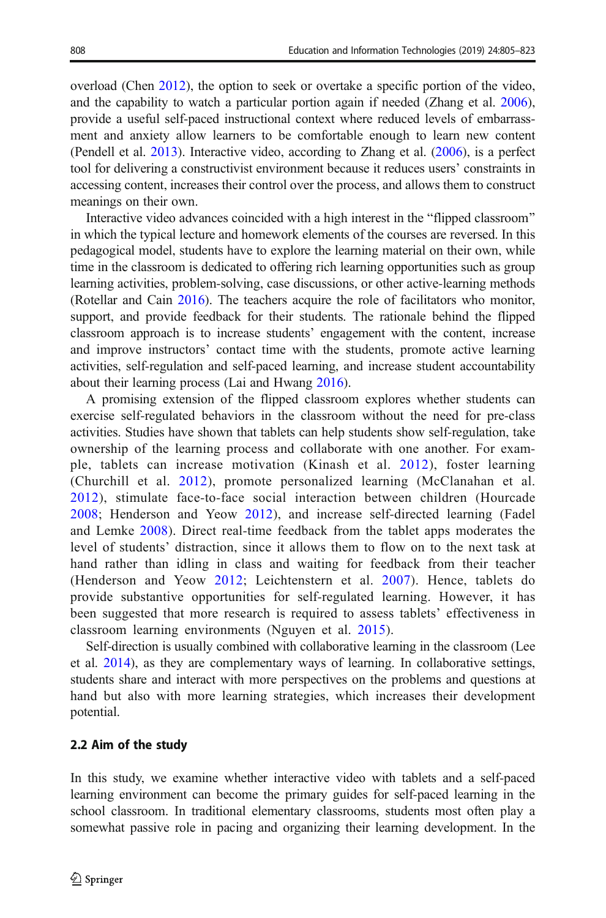overload (Chen [2012\)](#page-16-0), the option to seek or overtake a specific portion of the video, and the capability to watch a particular portion again if needed (Zhang et al. [2006\)](#page-18-0), provide a useful self-paced instructional context where reduced levels of embarrassment and anxiety allow learners to be comfortable enough to learn new content (Pendell et al. [2013\)](#page-18-0). Interactive video, according to Zhang et al. ([2006](#page-18-0)), is a perfect tool for delivering a constructivist environment because it reduces users' constraints in accessing content, increases their control over the process, and allows them to construct meanings on their own.

Interactive video advances coincided with a high interest in the "flipped classroom" in which the typical lecture and homework elements of the courses are reversed. In this pedagogical model, students have to explore the learning material on their own, while time in the classroom is dedicated to offering rich learning opportunities such as group learning activities, problem-solving, case discussions, or other active-learning methods (Rotellar and Cain [2016\)](#page-18-0). The teachers acquire the role of facilitators who monitor, support, and provide feedback for their students. The rationale behind the flipped classroom approach is to increase students' engagement with the content, increase and improve instructors' contact time with the students, promote active learning activities, self-regulation and self-paced learning, and increase student accountability about their learning process (Lai and Hwang [2016](#page-17-0)).

A promising extension of the flipped classroom explores whether students can exercise self-regulated behaviors in the classroom without the need for pre-class activities. Studies have shown that tablets can help students show self-regulation, take ownership of the learning process and collaborate with one another. For example, tablets can increase motivation (Kinash et al. [2012](#page-17-0)), foster learning (Churchill et al. [2012\)](#page-16-0), promote personalized learning (McClanahan et al. [2012\)](#page-17-0), stimulate face-to-face social interaction between children (Hourcade [2008](#page-17-0); Henderson and Yeow [2012](#page-17-0)), and increase self-directed learning (Fadel and Lemke [2008\)](#page-17-0). Direct real-time feedback from the tablet apps moderates the level of students' distraction, since it allows them to flow on to the next task at hand rather than idling in class and waiting for feedback from their teacher (Henderson and Yeow [2012](#page-17-0); Leichtenstern et al. [2007\)](#page-17-0). Hence, tablets do provide substantive opportunities for self-regulated learning. However, it has been suggested that more research is required to assess tablets' effectiveness in classroom learning environments (Nguyen et al. [2015\)](#page-18-0).

Self-direction is usually combined with collaborative learning in the classroom (Lee et al. [2014\)](#page-17-0), as they are complementary ways of learning. In collaborative settings, students share and interact with more perspectives on the problems and questions at hand but also with more learning strategies, which increases their development potential.

#### 2.2 Aim of the study

In this study, we examine whether interactive video with tablets and a self-paced learning environment can become the primary guides for self-paced learning in the school classroom. In traditional elementary classrooms, students most often play a somewhat passive role in pacing and organizing their learning development. In the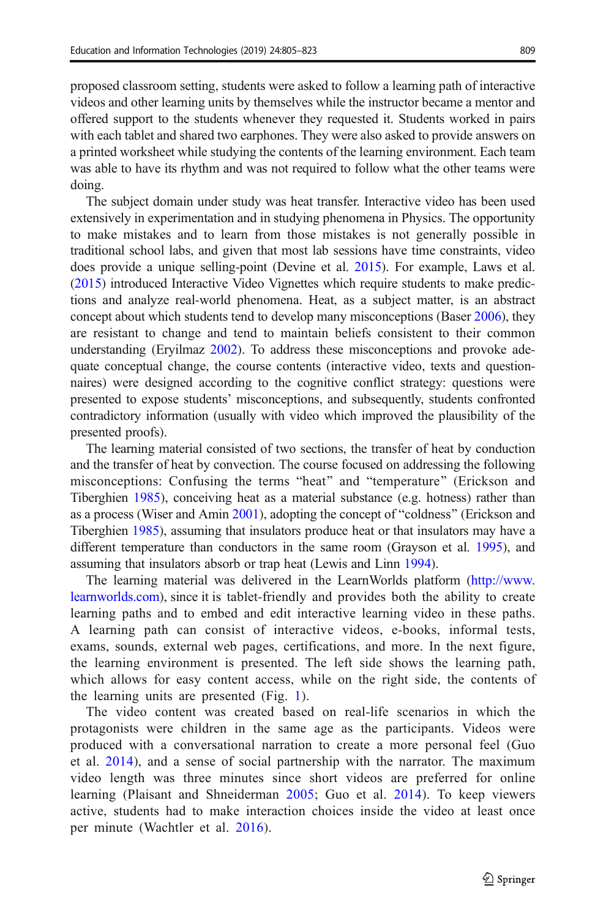proposed classroom setting, students were asked to follow a learning path of interactive videos and other learning units by themselves while the instructor became a mentor and offered support to the students whenever they requested it. Students worked in pairs with each tablet and shared two earphones. They were also asked to provide answers on a printed worksheet while studying the contents of the learning environment. Each team was able to have its rhythm and was not required to follow what the other teams were doing.

The subject domain under study was heat transfer. Interactive video has been used extensively in experimentation and in studying phenomena in Physics. The opportunity to make mistakes and to learn from those mistakes is not generally possible in traditional school labs, and given that most lab sessions have time constraints, video does provide a unique selling-point (Devine et al. [2015\)](#page-16-0). For example, Laws et al. [\(2015\)](#page-17-0) introduced Interactive Video Vignettes which require students to make predictions and analyze real-world phenomena. Heat, as a subject matter, is an abstract concept about which students tend to develop many misconceptions (Baser [2006\)](#page-16-0), they are resistant to change and tend to maintain beliefs consistent to their common understanding (Eryilmaz [2002](#page-17-0)). To address these misconceptions and provoke adequate conceptual change, the course contents (interactive video, texts and questionnaires) were designed according to the cognitive conflict strategy: questions were presented to expose students' misconceptions, and subsequently, students confronted contradictory information (usually with video which improved the plausibility of the presented proofs).

The learning material consisted of two sections, the transfer of heat by conduction and the transfer of heat by convection. The course focused on addressing the following misconceptions: Confusing the terms "heat" and "temperature" (Erickson and Tiberghien [1985](#page-17-0)), conceiving heat as a material substance (e.g. hotness) rather than as a process (Wiser and Amin [2001](#page-18-0)), adopting the concept of "coldness" (Erickson and Tiberghien [1985](#page-17-0)), assuming that insulators produce heat or that insulators may have a different temperature than conductors in the same room (Grayson et al. [1995\)](#page-17-0), and assuming that insulators absorb or trap heat (Lewis and Linn [1994\)](#page-17-0).

The learning material was delivered in the LearnWorlds platform ([http://www.](http://www.learnworlds.com) [learnworlds.com\)](http://www.learnworlds.com), since it is tablet-friendly and provides both the ability to create learning paths and to embed and edit interactive learning video in these paths. A learning path can consist of interactive videos, e-books, informal tests, exams, sounds, external web pages, certifications, and more. In the next figure, the learning environment is presented. The left side shows the learning path, which allows for easy content access, while on the right side, the contents of the learning units are presented (Fig. [1\)](#page-5-0).

The video content was created based on real-life scenarios in which the protagonists were children in the same age as the participants. Videos were produced with a conversational narration to create a more personal feel (Guo et al. [2014\)](#page-17-0), and a sense of social partnership with the narrator. The maximum video length was three minutes since short videos are preferred for online learning (Plaisant and Shneiderman [2005](#page-18-0); Guo et al. [2014](#page-17-0)). To keep viewers active, students had to make interaction choices inside the video at least once per minute (Wachtler et al. [2016](#page-18-0)).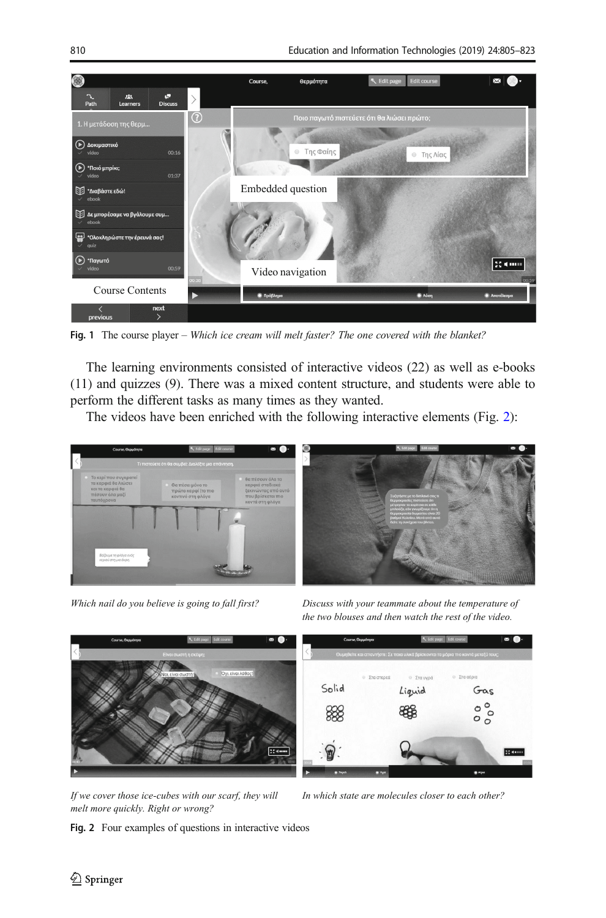<span id="page-5-0"></span>

Fig. 1 The course player - Which ice cream will melt faster? The one covered with the blanket?

The learning environments consisted of interactive videos (22) as well as e-books (11) and quizzes (9). There was a mixed content structure, and students were able to perform the different tasks as many times as they wanted.

The videos have been enriched with the following interactive elements (Fig. 2):



*Which nail do you believe is going to fall first? Discuss with your teammate about the temperature of the two blouses and then watch the rest of the video.*



*If we cover those ice-cubes with our scarf, they will melt more quickly. Right or wrong?* 

*In which state are molecules closer to each other?*

Fig. 2 Four examples of questions in interactive videos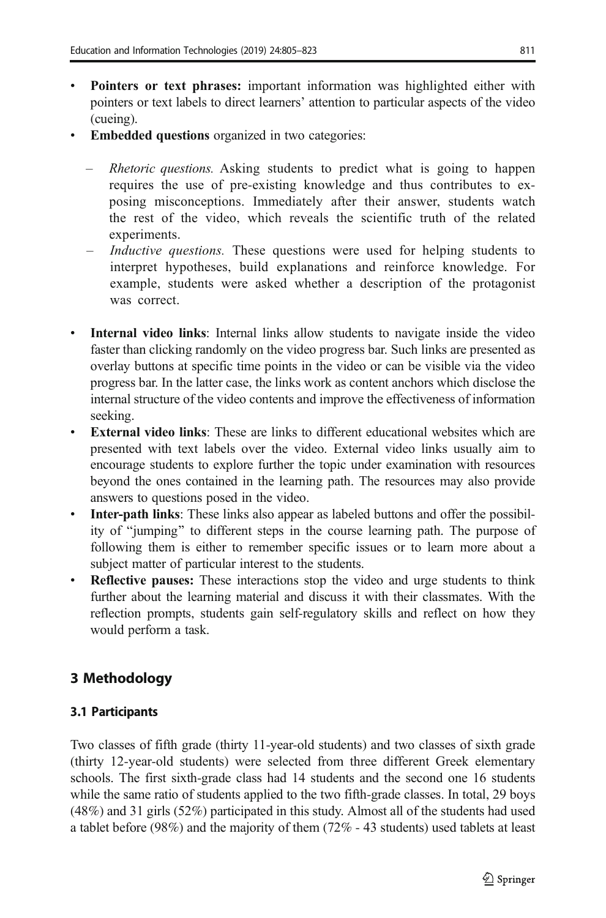- Pointers or text phrases: important information was highlighted either with pointers or text labels to direct learners' attention to particular aspects of the video (cueing).
- Embedded questions organized in two categories:
	- *Rhetoric questions.* Asking students to predict what is going to happen requires the use of pre-existing knowledge and thus contributes to exposing misconceptions. Immediately after their answer, students watch the rest of the video, which reveals the scientific truth of the related experiments.
	- Inductive questions. These questions were used for helping students to interpret hypotheses, build explanations and reinforce knowledge. For example, students were asked whether a description of the protagonist was correct.
- Internal video links: Internal links allow students to navigate inside the video faster than clicking randomly on the video progress bar. Such links are presented as overlay buttons at specific time points in the video or can be visible via the video progress bar. In the latter case, the links work as content anchors which disclose the internal structure of the video contents and improve the effectiveness of information seeking.
- **External video links:** These are links to different educational websites which are presented with text labels over the video. External video links usually aim to encourage students to explore further the topic under examination with resources beyond the ones contained in the learning path. The resources may also provide answers to questions posed in the video.
- & Inter-path links: These links also appear as labeled buttons and offer the possibility of "jumping" to different steps in the course learning path. The purpose of following them is either to remember specific issues or to learn more about a subject matter of particular interest to the students.
- **Reflective pauses:** These interactions stop the video and urge students to think further about the learning material and discuss it with their classmates. With the reflection prompts, students gain self-regulatory skills and reflect on how they would perform a task.

# 3 Methodology

## 3.1 Participants

Two classes of fifth grade (thirty 11-year-old students) and two classes of sixth grade (thirty 12-year-old students) were selected from three different Greek elementary schools. The first sixth-grade class had 14 students and the second one 16 students while the same ratio of students applied to the two fifth-grade classes. In total, 29 boys (48%) and 31 girls (52%) participated in this study. Almost all of the students had used a tablet before (98%) and the majority of them (72% - 43 students) used tablets at least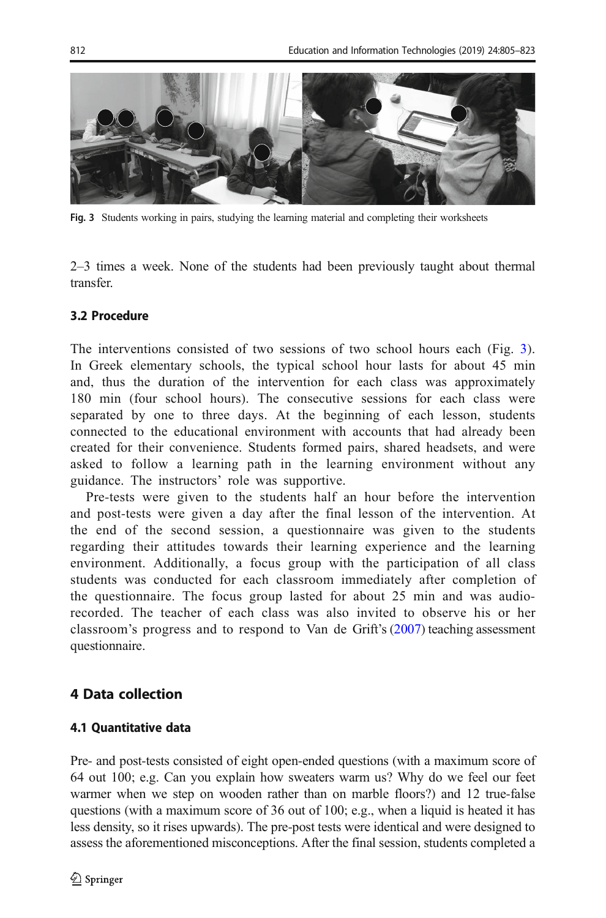

Fig. 3 Students working in pairs, studying the learning material and completing their worksheets

2–3 times a week. None of the students had been previously taught about thermal transfer.

#### 3.2 Procedure

The interventions consisted of two sessions of two school hours each (Fig. 3). In Greek elementary schools, the typical school hour lasts for about 45 min and, thus the duration of the intervention for each class was approximately 180 min (four school hours). The consecutive sessions for each class were separated by one to three days. At the beginning of each lesson, students connected to the educational environment with accounts that had already been created for their convenience. Students formed pairs, shared headsets, and were asked to follow a learning path in the learning environment without any guidance. The instructors' role was supportive.

Pre-tests were given to the students half an hour before the intervention and post-tests were given a day after the final lesson of the intervention. At the end of the second session, a questionnaire was given to the students regarding their attitudes towards their learning experience and the learning environment. Additionally, a focus group with the participation of all class students was conducted for each classroom immediately after completion of the questionnaire. The focus group lasted for about 25 min and was audiorecorded. The teacher of each class was also invited to observe his or her classroom's progress and to respond to Van de Grift's ([2007](#page-18-0)) teaching assessment questionnaire.

# 4 Data collection

#### 4.1 Quantitative data

Pre- and post-tests consisted of eight open-ended questions (with a maximum score of 64 out 100; e.g. Can you explain how sweaters warm us? Why do we feel our feet warmer when we step on wooden rather than on marble floors?) and 12 true-false questions (with a maximum score of 36 out of 100; e.g., when a liquid is heated it has less density, so it rises upwards). The pre-post tests were identical and were designed to assess the aforementioned misconceptions. After the final session, students completed a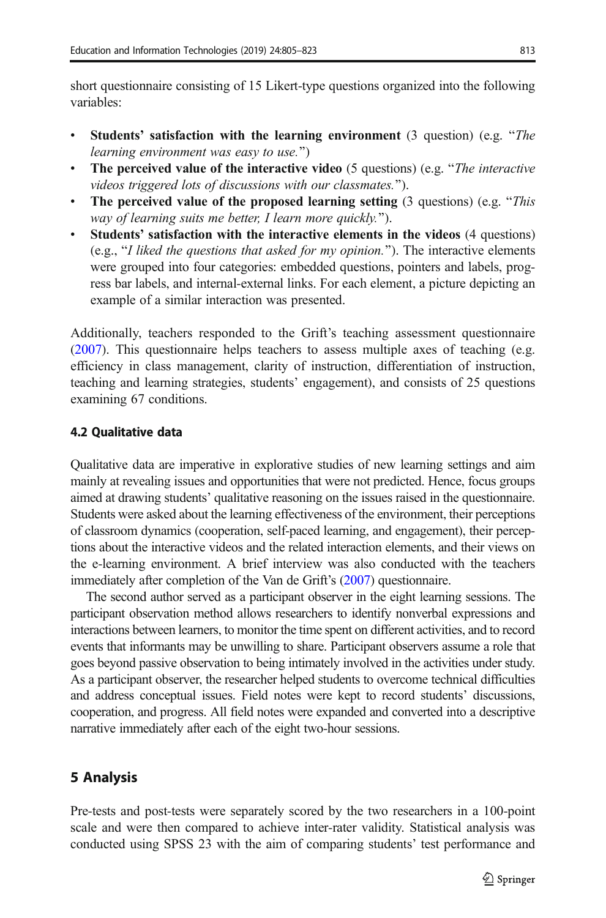short questionnaire consisting of 15 Likert-type questions organized into the following variables:

- Students' satisfaction with the learning environment (3 question) (e.g. "The learning environment was easy to use.")
- The perceived value of the interactive video (5 questions) (e.g. "The interactive videos triggered lots of discussions with our classmates.^).
- The perceived value of the proposed learning setting (3 questions) (e.g.  $\lq$ This way of learning suits me better, I learn more quickly.").
- & Students' satisfaction with the interactive elements in the videos (4 questions) (e.g., "I liked the questions that asked for my opinion."). The interactive elements were grouped into four categories: embedded questions, pointers and labels, progress bar labels, and internal-external links. For each element, a picture depicting an example of a similar interaction was presented.

Additionally, teachers responded to the Grift's teaching assessment questionnaire [\(2007\)](#page-18-0). This questionnaire helps teachers to assess multiple axes of teaching (e.g. efficiency in class management, clarity of instruction, differentiation of instruction, teaching and learning strategies, students' engagement), and consists of 25 questions examining 67 conditions.

#### 4.2 Qualitative data

Qualitative data are imperative in explorative studies of new learning settings and aim mainly at revealing issues and opportunities that were not predicted. Hence, focus groups aimed at drawing students' qualitative reasoning on the issues raised in the questionnaire. Students were asked about the learning effectiveness of the environment, their perceptions of classroom dynamics (cooperation, self-paced learning, and engagement), their perceptions about the interactive videos and the related interaction elements, and their views on the e-learning environment. A brief interview was also conducted with the teachers immediately after completion of the Van de Grift's [\(2007\)](#page-18-0) questionnaire.

The second author served as a participant observer in the eight learning sessions. The participant observation method allows researchers to identify nonverbal expressions and interactions between learners, to monitor the time spent on different activities, and to record events that informants may be unwilling to share. Participant observers assume a role that goes beyond passive observation to being intimately involved in the activities under study. As a participant observer, the researcher helped students to overcome technical difficulties and address conceptual issues. Field notes were kept to record students' discussions, cooperation, and progress. All field notes were expanded and converted into a descriptive narrative immediately after each of the eight two-hour sessions.

#### 5 Analysis

Pre-tests and post-tests were separately scored by the two researchers in a 100-point scale and were then compared to achieve inter-rater validity. Statistical analysis was conducted using SPSS 23 with the aim of comparing students' test performance and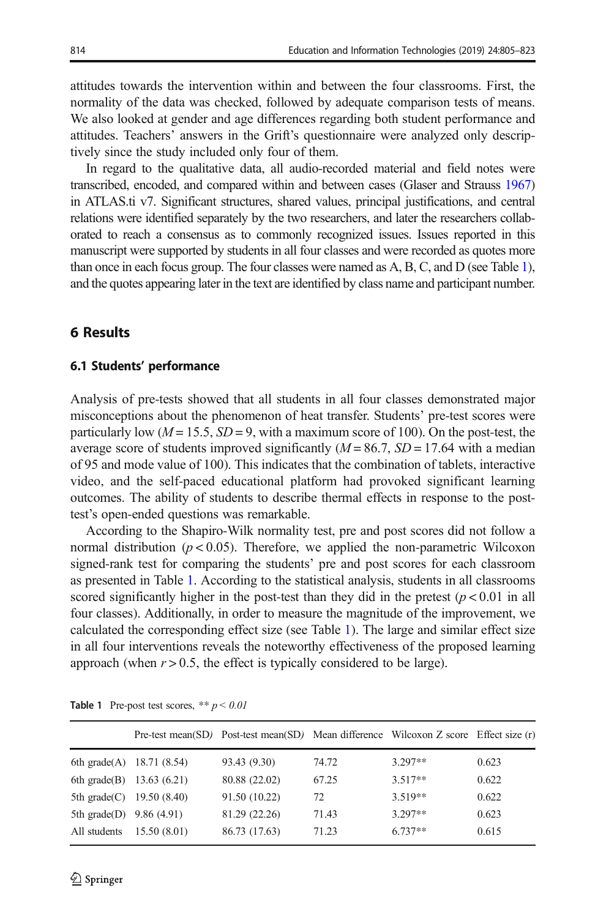attitudes towards the intervention within and between the four classrooms. First, the normality of the data was checked, followed by adequate comparison tests of means. We also looked at gender and age differences regarding both student performance and attitudes. Teachers' answers in the Grift's questionnaire were analyzed only descriptively since the study included only four of them.

In regard to the qualitative data, all audio-recorded material and field notes were transcribed, encoded, and compared within and between cases (Glaser and Strauss [1967](#page-17-0)) in ATLAS.ti v7. Significant structures, shared values, principal justifications, and central relations were identified separately by the two researchers, and later the researchers collaborated to reach a consensus as to commonly recognized issues. Issues reported in this manuscript were supported by students in all four classes and were recorded as quotes more than once in each focus group. The four classes were named as A, B, C, and D (see Table 1), and the quotes appearing later in the text are identified by class name and participant number.

#### 6 Results

#### 6.1 Students' performance

Analysis of pre-tests showed that all students in all four classes demonstrated major misconceptions about the phenomenon of heat transfer. Students' pre-test scores were particularly low ( $M = 15.5$ ,  $SD = 9$ , with a maximum score of 100). On the post-test, the average score of students improved significantly  $(M = 86.7, SD = 17.64$  with a median of 95 and mode value of 100). This indicates that the combination of tablets, interactive video, and the self-paced educational platform had provoked significant learning outcomes. The ability of students to describe thermal effects in response to the posttest's open-ended questions was remarkable.

According to the Shapiro-Wilk normality test, pre and post scores did not follow a normal distribution ( $p < 0.05$ ). Therefore, we applied the non-parametric Wilcoxon signed-rank test for comparing the students' pre and post scores for each classroom as presented in Table 1. According to the statistical analysis, students in all classrooms scored significantly higher in the post-test than they did in the pretest  $(p < 0.01$  in all four classes). Additionally, in order to measure the magnitude of the improvement, we calculated the corresponding effect size (see Table 1). The large and similar effect size in all four interventions reveals the noteworthy effectiveness of the proposed learning approach (when  $r > 0.5$ , the effect is typically considered to be large).

|                                |             | Pre-test mean(SD) Post-test mean(SD) Mean difference Wilcoxon Z score Effect size (r) |       |           |       |
|--------------------------------|-------------|---------------------------------------------------------------------------------------|-------|-----------|-------|
| 6th grade $(A)$ 18.71 (8.54)   |             | 93.43 (9.30)                                                                          | 74.72 | $3.297**$ | 0.623 |
| 6th grade $(B)$ 13.63 (6.21)   |             | 80.88 (22.02)                                                                         | 67.25 | $3.517**$ | 0.622 |
| 5th grade $(C)$ 19.50 $(8.40)$ |             | 91.50 (10.22)                                                                         | 72    | $3.519**$ | 0.622 |
| 5th grade $(D)$ 9.86 (4.91)    |             | 81.29 (22.26)                                                                         | 71.43 | $3.297**$ | 0.623 |
| All students                   | 15.50(8.01) | 86.73 (17.63)                                                                         | 71.23 | $6.737**$ | 0.615 |

Table 1 Pre-post test scores,  $** p < 0.01$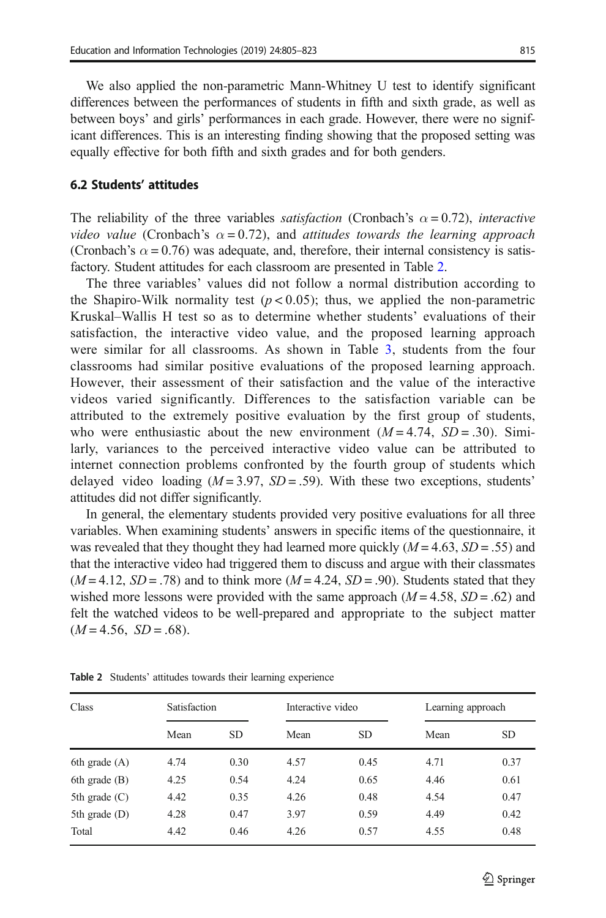We also applied the non-parametric Mann-Whitney U test to identify significant differences between the performances of students in fifth and sixth grade, as well as between boys' and girls' performances in each grade. However, there were no significant differences. This is an interesting finding showing that the proposed setting was equally effective for both fifth and sixth grades and for both genders.

#### 6.2 Students' attitudes

The reliability of the three variables *satisfaction* (Cronbach's  $\alpha = 0.72$ ), *interactive* video value (Cronbach's  $\alpha = 0.72$ ), and attitudes towards the learning approach (Cronbach's  $\alpha$  = 0.76) was adequate, and, therefore, their internal consistency is satisfactory. Student attitudes for each classroom are presented in Table 2.

The three variables' values did not follow a normal distribution according to the Shapiro-Wilk normality test  $(p < 0.05)$ ; thus, we applied the non-parametric Kruskal–Wallis H test so as to determine whether students' evaluations of their satisfaction, the interactive video value, and the proposed learning approach were similar for all classrooms. As shown in Table [3](#page-11-0), students from the four classrooms had similar positive evaluations of the proposed learning approach. However, their assessment of their satisfaction and the value of the interactive videos varied significantly. Differences to the satisfaction variable can be attributed to the extremely positive evaluation by the first group of students, who were enthusiastic about the new environment  $(M=4.74, SD=.30)$ . Similarly, variances to the perceived interactive video value can be attributed to internet connection problems confronted by the fourth group of students which delayed video loading  $(M = 3.97, SD = .59)$ . With these two exceptions, students' attitudes did not differ significantly.

In general, the elementary students provided very positive evaluations for all three variables. When examining students' answers in specific items of the questionnaire, it was revealed that they thought they had learned more quickly  $(M = 4.63, SD = .55)$  and that the interactive video had triggered them to discuss and argue with their classmates  $(M=4.12, SD=.78)$  and to think more  $(M=4.24, SD=.90)$ . Students stated that they wished more lessons were provided with the same approach  $(M = 4.58, SD = .62)$  and felt the watched videos to be well-prepared and appropriate to the subject matter  $(M = 4.56, SD = .68)$ .

| Class           | Satisfaction |           | Interactive video |           | Learning approach |           |
|-----------------|--------------|-----------|-------------------|-----------|-------------------|-----------|
|                 | Mean         | <b>SD</b> | Mean              | <b>SD</b> | Mean              | <b>SD</b> |
| 6th grade (A)   | 4.74         | 0.30      | 4.57              | 0.45      | 4.71              | 0.37      |
| 6th grade (B)   | 4.25         | 0.54      | 4.24              | 0.65      | 4.46              | 0.61      |
| 5th grade $(C)$ | 4.42         | 0.35      | 4.26              | 0.48      | 4.54              | 0.47      |
| 5th grade $(D)$ | 4.28         | 0.47      | 3.97              | 0.59      | 4.49              | 0.42      |
| Total           | 4.42         | 0.46      | 4.26              | 0.57      | 4.55              | 0.48      |

Table 2 Students' attitudes towards their learning experience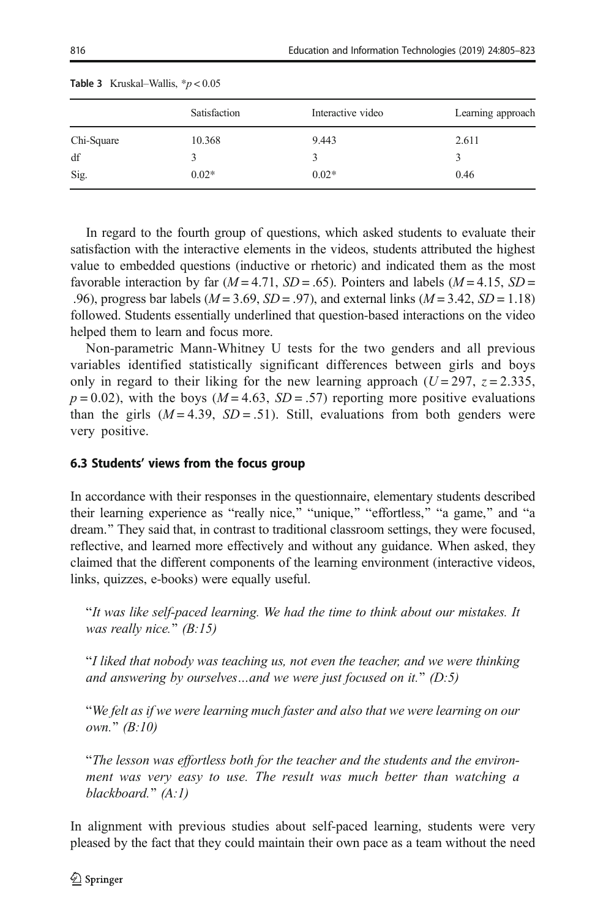| Satisfaction | Interactive video | Learning approach |
|--------------|-------------------|-------------------|
| 10.368       | 9.443             | 2.611             |
|              |                   |                   |
| $0.02*$      | $0.02*$           | 0.46              |
|              |                   |                   |

<span id="page-11-0"></span>Table 3 Kruskal–Wallis,  $p < 0.05$ 

In regard to the fourth group of questions, which asked students to evaluate their satisfaction with the interactive elements in the videos, students attributed the highest value to embedded questions (inductive or rhetoric) and indicated them as the most favorable interaction by far ( $M = 4.71$ ,  $SD = .65$ ). Pointers and labels ( $M = 4.15$ ,  $SD =$ .96), progress bar labels ( $M = 3.69$ ,  $SD = .97$ ), and external links ( $M = 3.42$ ,  $SD = 1.18$ ) followed. Students essentially underlined that question-based interactions on the video helped them to learn and focus more.

Non-parametric Mann-Whitney U tests for the two genders and all previous variables identified statistically significant differences between girls and boys only in regard to their liking for the new learning approach ( $U = 297$ ,  $z = 2.335$ ,  $p = 0.02$ , with the boys ( $M = 4.63$ ,  $SD = .57$ ) reporting more positive evaluations than the girls  $(M = 4.39, SD = .51)$ . Still, evaluations from both genders were very positive.

## 6.3 Students' views from the focus group

In accordance with their responses in the questionnaire, elementary students described their learning experience as "really nice," "unique," "effortless," "a game," and "a dream." They said that, in contrast to traditional classroom settings, they were focused, reflective, and learned more effectively and without any guidance. When asked, they claimed that the different components of the learning environment (interactive videos, links, quizzes, e-books) were equally useful.

"It was like self-paced learning. We had the time to think about our mistakes. It was really nice."  $(B:15)$ 

"I liked that nobody was teaching us, not even the teacher, and we were thinking and answering by ourselves...and we were just focused on it."  $(D:5)$ 

BWe felt as if we were learning much faster and also that we were learning on our *own.*"  $(B:10)$ 

"The lesson was effortless both for the teacher and the students and the environment was very easy to use. The result was much better than watching a blackboard." (A:1)

In alignment with previous studies about self-paced learning, students were very pleased by the fact that they could maintain their own pace as a team without the need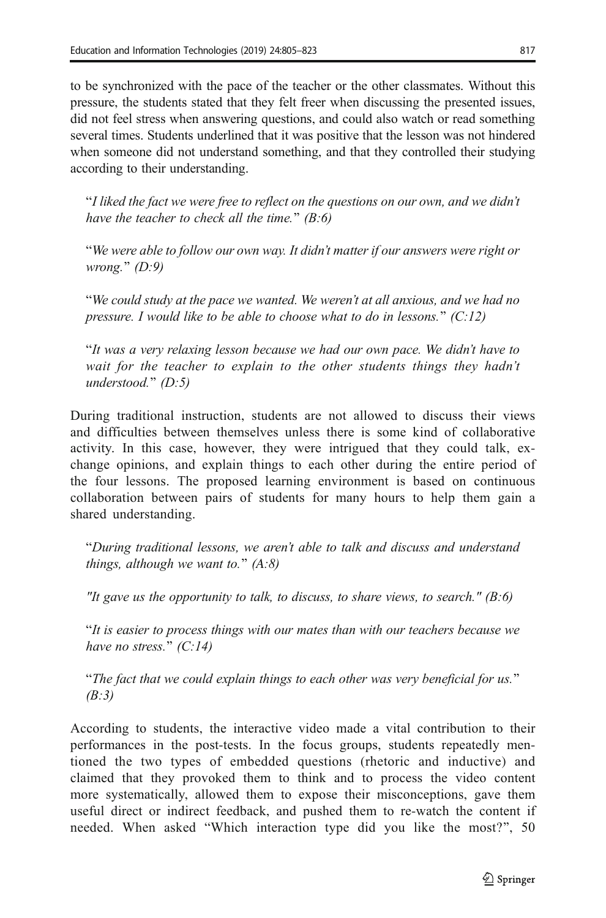to be synchronized with the pace of the teacher or the other classmates. Without this pressure, the students stated that they felt freer when discussing the presented issues, did not feel stress when answering questions, and could also watch or read something several times. Students underlined that it was positive that the lesson was not hindered when someone did not understand something, and that they controlled their studying according to their understanding.

BI liked the fact we were free to reflect on the questions on our own, and we didn't have the teacher to check all the time."  $(B:6)$ 

BWe were able to follow our own way. It didn't matter if our answers were right or wrong."  $(D:9)$ 

"We could study at the pace we wanted. We weren't at all anxious, and we had no pressure. I would like to be able to choose what to do in lessons."  $(C:12)$ 

"It was a very relaxing lesson because we had our own pace. We didn't have to wait for the teacher to explain to the other students things they hadn't understood."  $(D:5)$ 

During traditional instruction, students are not allowed to discuss their views and difficulties between themselves unless there is some kind of collaborative activity. In this case, however, they were intrigued that they could talk, exchange opinions, and explain things to each other during the entire period of the four lessons. The proposed learning environment is based on continuous collaboration between pairs of students for many hours to help them gain a shared understanding.

BDuring traditional lessons, we aren't able to talk and discuss and understand things, although we want to."  $(A:8)$ 

"It gave us the opportunity to talk, to discuss, to share views, to search."  $(B:6)$ 

 $H$  is easier to process things with our mates than with our teachers because we have no stress."  $(C:14)$ 

"The fact that we could explain things to each other was very beneficial for us." (Β:3)

According to students, the interactive video made a vital contribution to their performances in the post-tests. In the focus groups, students repeatedly mentioned the two types of embedded questions (rhetoric and inductive) and claimed that they provoked them to think and to process the video content more systematically, allowed them to expose their misconceptions, gave them useful direct or indirect feedback, and pushed them to re-watch the content if needed. When asked "Which interaction type did you like the most?", 50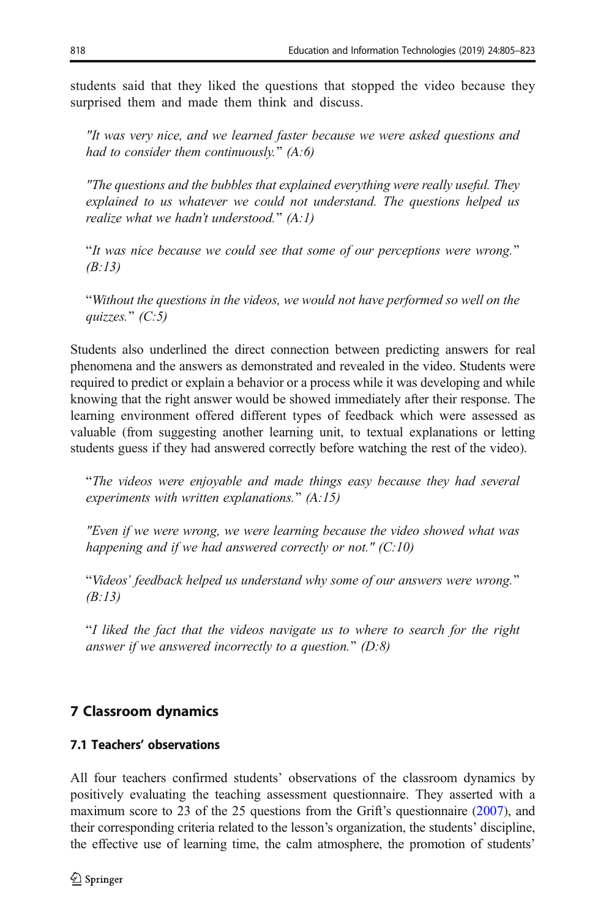students said that they liked the questions that stopped the video because they surprised them and made them think and discuss.

"It was very nice, and we learned faster because we were asked questions and had to consider them continuously."  $(A:6)$ 

"The questions and the bubbles that explained everything were really useful. They explained to us whatever we could not understand. The questions helped us realize what we hadn't understood."  $(A:1)$ 

"It was nice because we could see that some of our perceptions were wrong." (B:13)

"Without the questions in the videos, we would not have performed so well on the quizzes."  $(C:5)$ 

Students also underlined the direct connection between predicting answers for real phenomena and the answers as demonstrated and revealed in the video. Students were required to predict or explain a behavior or a process while it was developing and while knowing that the right answer would be showed immediately after their response. The learning environment offered different types of feedback which were assessed as valuable (from suggesting another learning unit, to textual explanations or letting students guess if they had answered correctly before watching the rest of the video).

"The videos were enjoyable and made things easy because they had several experiments with written explanations."  $(A:15)$ 

"Even if we were wrong, we were learning because the video showed what was happening and if we had answered correctly or not."  $(C:10)$ 

"Videos' feedback helped us understand why some of our answers were wrong." (B:13)

"I liked the fact that the videos navigate us to where to search for the right answer if we answered incorrectly to a question."  $(D:8)$ 

# 7 Classroom dynamics

# 7.1 Teachers' observations

All four teachers confirmed students' observations of the classroom dynamics by positively evaluating the teaching assessment questionnaire. They asserted with a maximum score to 23 of the 25 questions from the Grift's questionnaire ([2007](#page-18-0)), and their corresponding criteria related to the lesson's organization, the students' discipline, the effective use of learning time, the calm atmosphere, the promotion of students'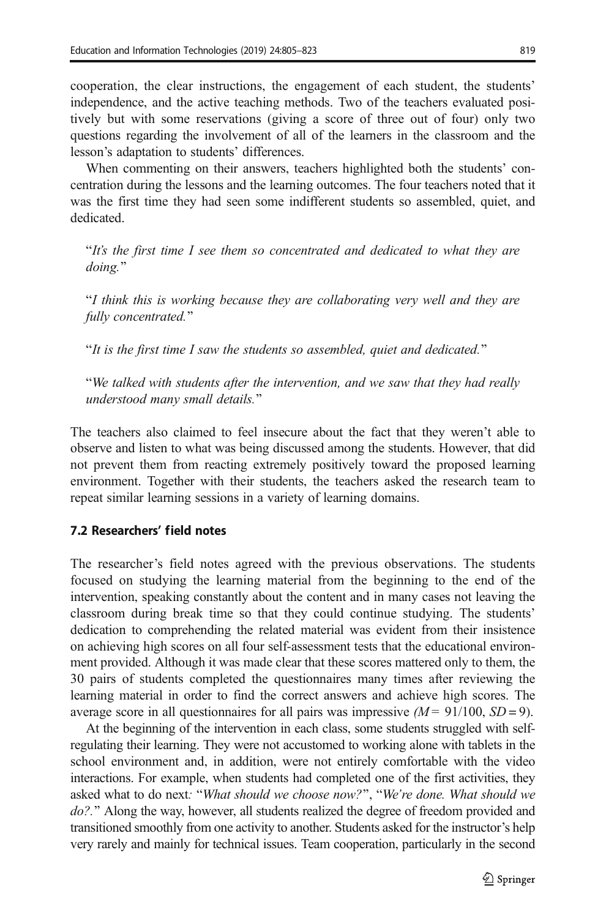cooperation, the clear instructions, the engagement of each student, the students' independence, and the active teaching methods. Two of the teachers evaluated positively but with some reservations (giving a score of three out of four) only two questions regarding the involvement of all of the learners in the classroom and the lesson's adaptation to students' differences.

When commenting on their answers, teachers highlighted both the students' concentration during the lessons and the learning outcomes. The four teachers noted that it was the first time they had seen some indifferent students so assembled, quiet, and dedicated.

"It's the first time I see them so concentrated and dedicated to what they are doing."

"I think this is working because they are collaborating very well and they are fully concentrated."

"It is the first time I saw the students so assembled, quiet and dedicated."

"We talked with students after the intervention, and we saw that they had really understood many small details."

The teachers also claimed to feel insecure about the fact that they weren't able to observe and listen to what was being discussed among the students. However, that did not prevent them from reacting extremely positively toward the proposed learning environment. Together with their students, the teachers asked the research team to repeat similar learning sessions in a variety of learning domains.

#### 7.2 Researchers' field notes

The researcher's field notes agreed with the previous observations. The students focused on studying the learning material from the beginning to the end of the intervention, speaking constantly about the content and in many cases not leaving the classroom during break time so that they could continue studying. The students' dedication to comprehending the related material was evident from their insistence on achieving high scores on all four self-assessment tests that the educational environment provided. Although it was made clear that these scores mattered only to them, the 30 pairs of students completed the questionnaires many times after reviewing the learning material in order to find the correct answers and achieve high scores. The average score in all questionnaires for all pairs was impressive  $(M = 91/100, SD = 9)$ .

At the beginning of the intervention in each class, some students struggled with selfregulating their learning. They were not accustomed to working alone with tablets in the school environment and, in addition, were not entirely comfortable with the video interactions. For example, when students had completed one of the first activities, they asked what to do next: "What should we choose now?", "We're done. What should we do?." Along the way, however, all students realized the degree of freedom provided and transitioned smoothly from one activity to another. Students asked for the instructor's help very rarely and mainly for technical issues. Team cooperation, particularly in the second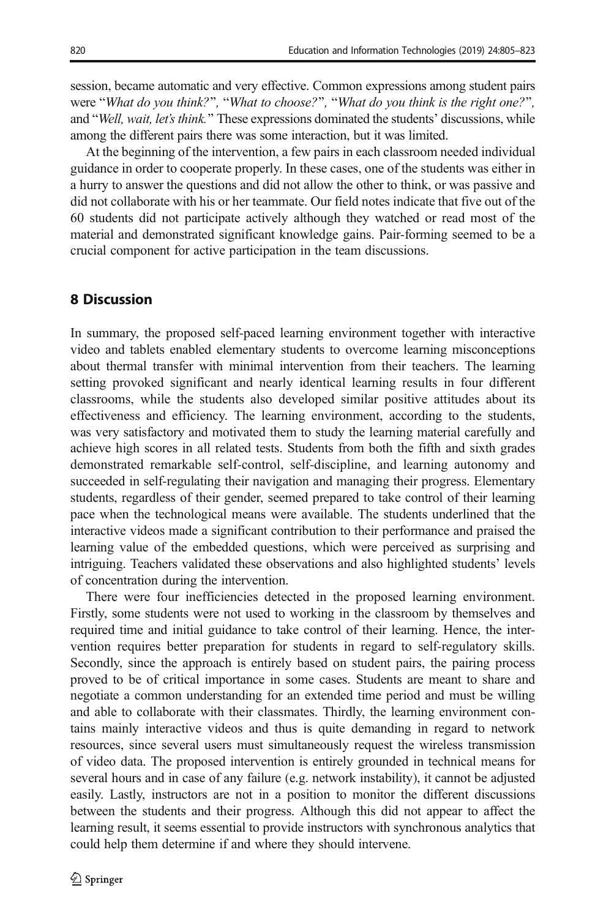session, became automatic and very effective. Common expressions among student pairs were "What do you think?", "What to choose?", "What do you think is the right one?", and "Well, wait, let's think." These expressions dominated the students' discussions, while among the different pairs there was some interaction, but it was limited.

At the beginning of the intervention, a few pairs in each classroom needed individual guidance in order to cooperate properly. In these cases, one of the students was either in a hurry to answer the questions and did not allow the other to think, or was passive and did not collaborate with his or her teammate. Our field notes indicate that five out of the 60 students did not participate actively although they watched or read most of the material and demonstrated significant knowledge gains. Pair-forming seemed to be a crucial component for active participation in the team discussions.

#### 8 Discussion

In summary, the proposed self-paced learning environment together with interactive video and tablets enabled elementary students to overcome learning misconceptions about thermal transfer with minimal intervention from their teachers. The learning setting provoked significant and nearly identical learning results in four different classrooms, while the students also developed similar positive attitudes about its effectiveness and efficiency. The learning environment, according to the students, was very satisfactory and motivated them to study the learning material carefully and achieve high scores in all related tests. Students from both the fifth and sixth grades demonstrated remarkable self-control, self-discipline, and learning autonomy and succeeded in self-regulating their navigation and managing their progress. Elementary students, regardless of their gender, seemed prepared to take control of their learning pace when the technological means were available. The students underlined that the interactive videos made a significant contribution to their performance and praised the learning value of the embedded questions, which were perceived as surprising and intriguing. Teachers validated these observations and also highlighted students' levels of concentration during the intervention.

There were four inefficiencies detected in the proposed learning environment. Firstly, some students were not used to working in the classroom by themselves and required time and initial guidance to take control of their learning. Hence, the intervention requires better preparation for students in regard to self-regulatory skills. Secondly, since the approach is entirely based on student pairs, the pairing process proved to be of critical importance in some cases. Students are meant to share and negotiate a common understanding for an extended time period and must be willing and able to collaborate with their classmates. Thirdly, the learning environment contains mainly interactive videos and thus is quite demanding in regard to network resources, since several users must simultaneously request the wireless transmission of video data. The proposed intervention is entirely grounded in technical means for several hours and in case of any failure (e.g. network instability), it cannot be adjusted easily. Lastly, instructors are not in a position to monitor the different discussions between the students and their progress. Although this did not appear to affect the learning result, it seems essential to provide instructors with synchronous analytics that could help them determine if and where they should intervene.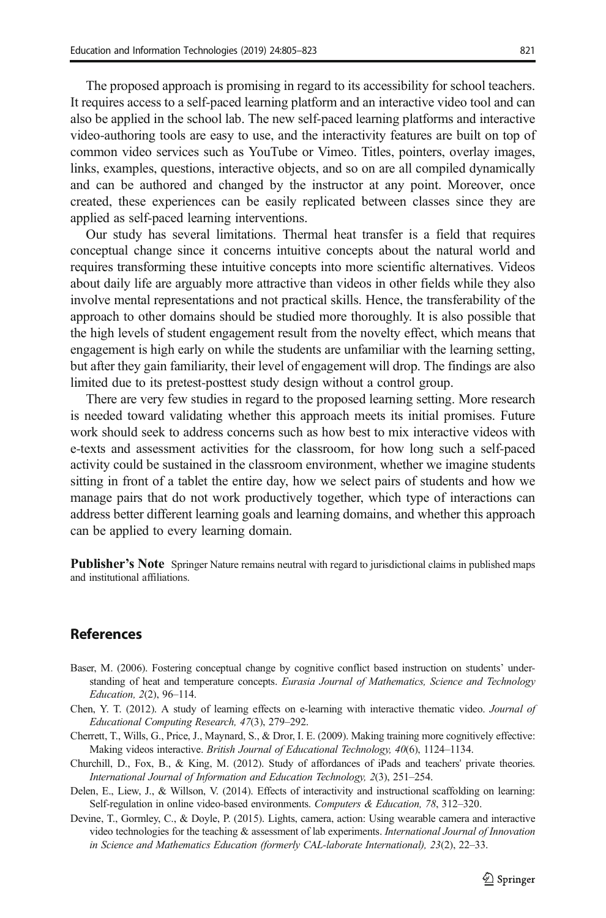<span id="page-16-0"></span>The proposed approach is promising in regard to its accessibility for school teachers. It requires access to a self-paced learning platform and an interactive video tool and can also be applied in the school lab. The new self-paced learning platforms and interactive video-authoring tools are easy to use, and the interactivity features are built on top of common video services such as YouTube or Vimeo. Titles, pointers, overlay images, links, examples, questions, interactive objects, and so on are all compiled dynamically and can be authored and changed by the instructor at any point. Moreover, once created, these experiences can be easily replicated between classes since they are applied as self-paced learning interventions.

Our study has several limitations. Thermal heat transfer is a field that requires conceptual change since it concerns intuitive concepts about the natural world and requires transforming these intuitive concepts into more scientific alternatives. Videos about daily life are arguably more attractive than videos in other fields while they also involve mental representations and not practical skills. Hence, the transferability of the approach to other domains should be studied more thoroughly. It is also possible that the high levels of student engagement result from the novelty effect, which means that engagement is high early on while the students are unfamiliar with the learning setting, but after they gain familiarity, their level of engagement will drop. The findings are also limited due to its pretest-posttest study design without a control group.

There are very few studies in regard to the proposed learning setting. More research is needed toward validating whether this approach meets its initial promises. Future work should seek to address concerns such as how best to mix interactive videos with e-texts and assessment activities for the classroom, for how long such a self-paced activity could be sustained in the classroom environment, whether we imagine students sitting in front of a tablet the entire day, how we select pairs of students and how we manage pairs that do not work productively together, which type of interactions can address better different learning goals and learning domains, and whether this approach can be applied to every learning domain.

**Publisher's Note** Springer Nature remains neutral with regard to jurisdictional claims in published maps and institutional affiliations.

# References

- Baser, M. (2006). Fostering conceptual change by cognitive conflict based instruction on students' understanding of heat and temperature concepts. Eurasia Journal of Mathematics, Science and Technology Education, 2(2), 96–114.
- Chen, Y. T. (2012). A study of learning effects on e-learning with interactive thematic video. Journal of Educational Computing Research, 47(3), 279–292.
- Cherrett, T., Wills, G., Price, J., Maynard, S., & Dror, I. E. (2009). Making training more cognitively effective: Making videos interactive. British Journal of Educational Technology, 40(6), 1124–1134.
- Churchill, D., Fox, B., & King, M. (2012). Study of affordances of iPads and teachers' private theories. International Journal of Information and Education Technology, 2(3), 251–254.
- Delen, E., Liew, J., & Willson, V. (2014). Effects of interactivity and instructional scaffolding on learning: Self-regulation in online video-based environments. Computers & Education, 78, 312–320.
- Devine, T., Gormley, C., & Doyle, P. (2015). Lights, camera, action: Using wearable camera and interactive video technologies for the teaching & assessment of lab experiments. International Journal of Innovation in Science and Mathematics Education (formerly CAL-laborate International), 23(2), 22–33.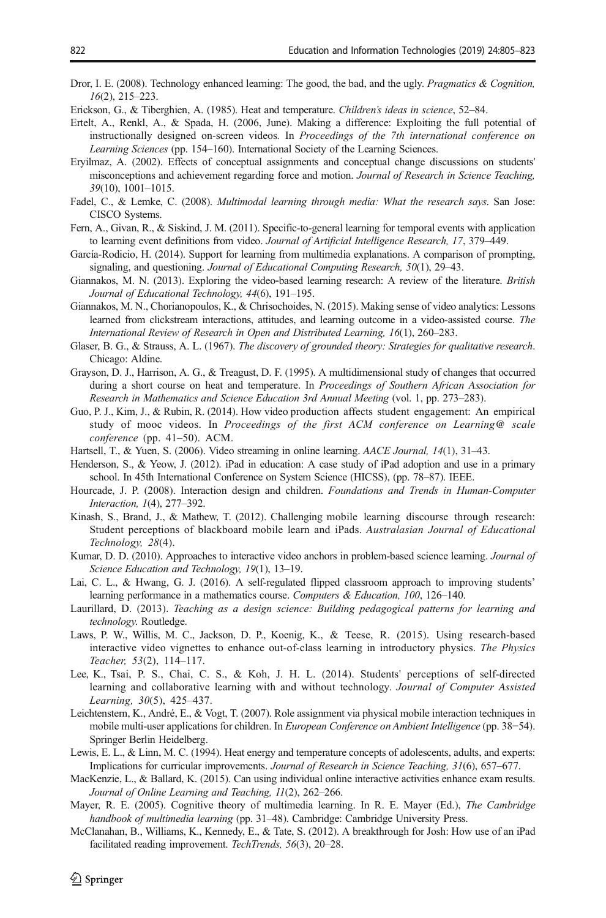<span id="page-17-0"></span>Dror, I. E. (2008). Technology enhanced learning: The good, the bad, and the ugly. *Pragmatics & Cognition*, 16(2), 215–223.

- Ertelt, A., Renkl, A., & Spada, H. (2006, June). Making a difference: Exploiting the full potential of instructionally designed on-screen videos. In Proceedings of the 7th international conference on Learning Sciences (pp. 154–160). International Society of the Learning Sciences.
- Eryilmaz, A. (2002). Effects of conceptual assignments and conceptual change discussions on students' misconceptions and achievement regarding force and motion. Journal of Research in Science Teaching, 39(10), 1001–1015.
- Fadel, C., & Lemke, C. (2008). Multimodal learning through media: What the research says. San Jose: CISCO Systems.
- Fern, A., Givan, R., & Siskind, J. M. (2011). Specific-to-general learning for temporal events with application to learning event definitions from video. Journal of Artificial Intelligence Research, 17, 379–449.
- García-Rodicio, H. (2014). Support for learning from multimedia explanations. A comparison of prompting, signaling, and questioning. Journal of Educational Computing Research, 50(1), 29–43.
- Giannakos, M. N. (2013). Exploring the video-based learning research: A review of the literature. British Journal of Educational Technology, 44(6), 191–195.
- Giannakos, M. N., Chorianopoulos, K., & Chrisochoides, N. (2015). Making sense of video analytics: Lessons learned from clickstream interactions, attitudes, and learning outcome in a video-assisted course. The International Review of Research in Open and Distributed Learning, 16(1), 260–283.
- Glaser, B. G., & Strauss, A. L. (1967). The discovery of grounded theory: Strategies for qualitative research. Chicago: Aldine.
- Grayson, D. J., Harrison, A. G., & Treagust, D. F. (1995). A multidimensional study of changes that occurred during a short course on heat and temperature. In Proceedings of Southern African Association for Research in Mathematics and Science Education 3rd Annual Meeting (vol. 1, pp. 273–283).
- Guo, P. J., Kim, J., & Rubin, R. (2014). How video production affects student engagement: An empirical study of mooc videos. In Proceedings of the first ACM conference on Learning@ scale conference (pp. 41–50). ACM.
- Hartsell, T., & Yuen, S. (2006). Video streaming in online learning. AACE Journal, 14(1), 31–43.
- Henderson, S., & Yeow, J. (2012). iPad in education: A case study of iPad adoption and use in a primary school. In 45th International Conference on System Science (HICSS), (pp. 78–87). IEEE.
- Hourcade, J. P. (2008). Interaction design and children. Foundations and Trends in Human-Computer Interaction, 1(4), 277–392.
- Kinash, S., Brand, J., & Mathew, T. (2012). Challenging mobile learning discourse through research: Student perceptions of blackboard mobile learn and iPads. Australasian Journal of Educational Technology, 28(4).
- Kumar, D. D. (2010). Approaches to interactive video anchors in problem-based science learning. Journal of Science Education and Technology, 19(1), 13–19.
- Lai, C. L., & Hwang, G. J. (2016). A self-regulated flipped classroom approach to improving students' learning performance in a mathematics course. Computers & Education, 100, 126–140.
- Laurillard, D. (2013). Teaching as a design science: Building pedagogical patterns for learning and technology. Routledge.
- Laws, P. W., Willis, M. C., Jackson, D. P., Koenig, K., & Teese, R. (2015). Using research-based interactive video vignettes to enhance out-of-class learning in introductory physics. The Physics Teacher, 53(2), 114–117.
- Lee, K., Tsai, P. S., Chai, C. S., & Koh, J. H. L. (2014). Students' perceptions of self-directed learning and collaborative learning with and without technology. Journal of Computer Assisted Learning, 30(5), 425–437.
- Leichtenstern, K., André, E., & Vogt, T. (2007). Role assignment via physical mobile interaction techniques in mobile multi-user applications for children. In *European Conference on Ambient Intelligence* (pp. 38–54). Springer Berlin Heidelberg.
- Lewis, E. L., & Linn, M. C. (1994). Heat energy and temperature concepts of adolescents, adults, and experts: Implications for curricular improvements. Journal of Research in Science Teaching, 31(6), 657–677.
- MacKenzie, L., & Ballard, K. (2015). Can using individual online interactive activities enhance exam results. Journal of Online Learning and Teaching, 11(2), 262–266.
- Mayer, R. E. (2005). Cognitive theory of multimedia learning. In R. E. Mayer (Ed.), The Cambridge handbook of multimedia learning (pp. 31-48). Cambridge: Cambridge University Press.
- McClanahan, B., Williams, K., Kennedy, E., & Tate, S. (2012). A breakthrough for Josh: How use of an iPad facilitated reading improvement. TechTrends, 56(3), 20-28.

Erickson, G., & Tiberghien, A. (1985). Heat and temperature. Children's ideas in science, 52–84.